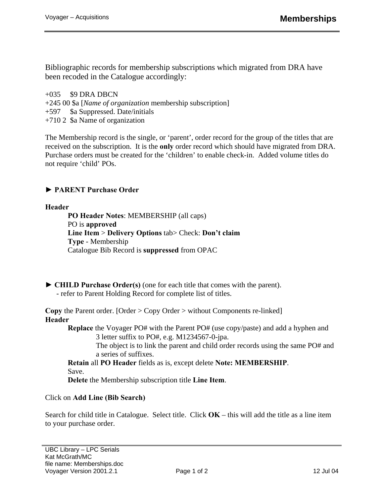Bibliographic records for membership subscriptions which migrated from DRA have been recoded in the Catalogue accordingly:

 $+035$  \$9 DRA DBCN +245 00 \$a [*Name of organization* membership subscription] +597 \$a Suppressed. Date/initials +710 2 \$a Name of organization

The Membership record is the single, or 'parent', order record for the group of the titles that are received on the subscription. It is the **only** order record which should have migrated from DRA. Purchase orders must be created for the 'children' to enable check-in. Added volume titles do not require 'child' POs.

**► PARENT Purchase Order** 

## **Header**

 **PO Header Notes**: MEMBERSHIP (all caps) PO is **approved Line Item** > **Delivery Options** tab> Check: **Don't claim Type** - Membership Catalogue Bib Record is **suppressed** from OPAC

**► CHILD Purchase Order(s)** (one for each title that comes with the parent). - refer to Parent Holding Record for complete list of titles.

**Copy** the Parent order. [Order > Copy Order > without Components re-linked] **Header** 

 **Replace** the Voyager PO# with the Parent PO# (use copy/paste) and add a hyphen and 3 letter suffix to PO#, e.g. M1234567-0-jpa.

 The object is to link the parent and child order records using the same PO# and a series of suffixes.

 **Retain** all **PO Header** fields as is, except delete **Note: MEMBERSHIP**. Save.

 **Delete** the Membership subscription title **Line Item**.

## Click on **Add Line (Bib Search)**

Search for child title in Catalogue. Select title. Click **OK** – this will add the title as a line item to your purchase order.